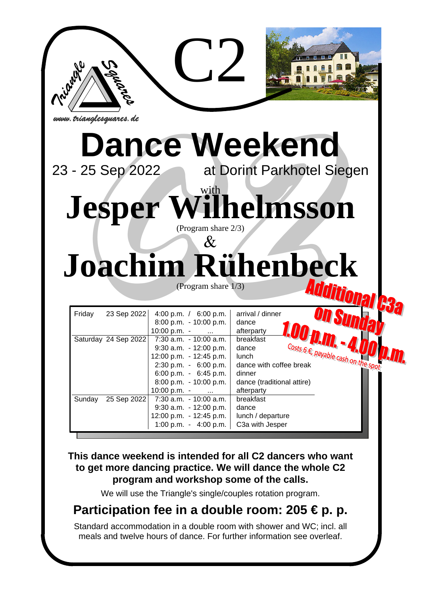

# **This dance weekend is intended for all C2 dancers who want to get more dancing practice. We will dance the whole C2 program and workshop some of the calls.**

We will use the Triangle's single/couples rotation program.

# **Participation fee in a double room: 205 € p. p.**

Standard accommodation in a double room with shower and WC; incl. all meals and twelve hours of dance. For further information see overleaf.